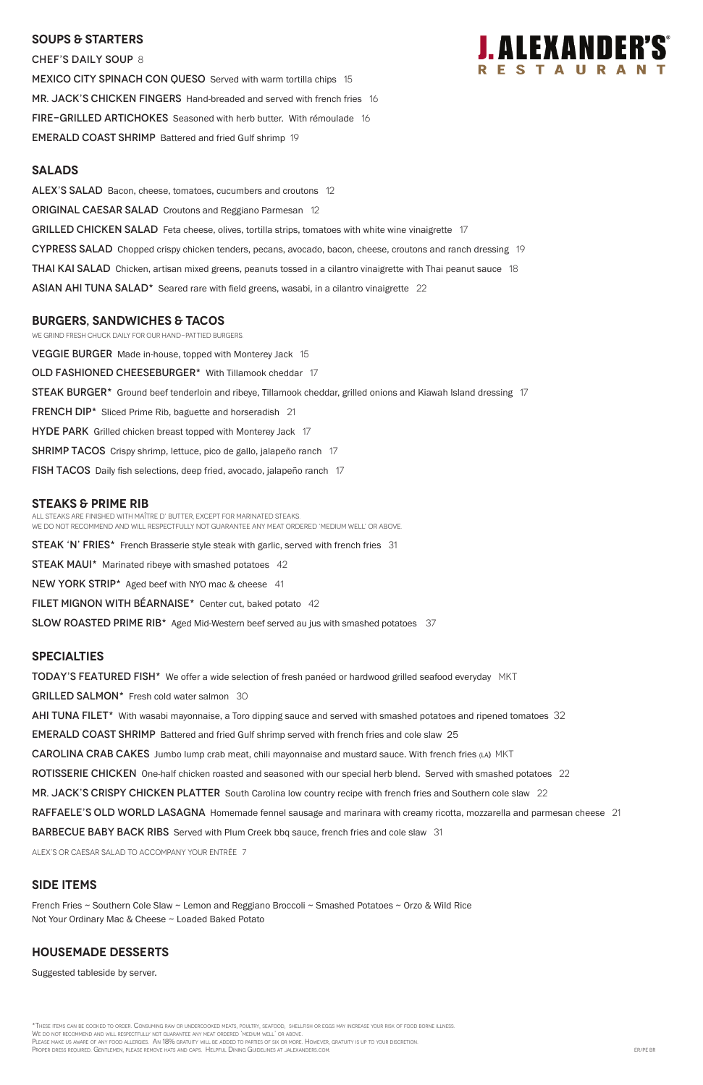### **SOUPS & Starters**

CHEF'S DAILY SOUP 8 MEXICO CITY SPINACH CON QUESO Served with warm tortilla chips 15 MR. JACK'S CHICKEN FINGERS Hand-breaded and served with french fries 16 FIRE-GRILLED ARTICHOKES Seasoned with herb butter. With rémoulade 16 EMERALD COAST SHRIMP Battered and fried Gulf shrimp 19

### **Salads**

ALEX'S SALAD Bacon, cheese, tomatoes, cucumbers and croutons 12 **ORIGINAL CAESAR SALAD** Croutons and Reggiano Parmesan 12 GRILLED CHICKEN SALAD Feta cheese, olives, tortilla strips, tomatoes with white wine vinaigrette 17 CYPRESS SALAD Chopped crispy chicken tenders, pecans, avocado, bacon, cheese, croutons and ranch dressing 19 **THAI KAI SALAD** Chicken, artisan mixed greens, peanuts tossed in a cilantro vinaigrette with Thai peanut sauce 18 ASIAN AHI TUNA SALAD\* Seared rare with field greens, wasabi, in a cilantro vinaigrette 22

**VEGGIE BURGER** Made in-house, topped with Monterey Jack 15 OLD FASHIONED CHEESEBURGER\* With Tillamook cheddar 17 STEAK BURGER<sup>\*</sup> Ground beef tenderloin and ribeye, Tillamook cheddar, grilled onions and Kiawah Island dressing 17 FRENCH DIP<sup>\*</sup> Sliced Prime Rib, baguette and horseradish 21 HYDE PARK Grilled chicken breast topped with Monterey Jack 17 **SHRIMP TACOS** Crispy shrimp, lettuce, pico de gallo, jalapeño ranch 17 fish TACOS Daily fish selections, deep fried, avocado, jalapeño ranch 17

### **burgers, Sandwiches & tacos**

We grind fresh chuck daily for our hand-pattied burgers.

### **STEAKS & Prime Rib**

All steaks are finished with Maître d' butter, except for marinated steaks. We do not recommend and will respectfully not guarantee any meat ordered 'medium well' or above.

**STEAK 'N' FRIES\*** French Brasserie style steak with garlic, served with french fries 31

STEAK MAUI\* Marinated ribeye with smashed potatoes 42

NEW YORK STRIP\* Aged beef with NYO mac & cheese 41

FILET MIGNON WITH BEARNAISE\* Center cut, baked potato 42

SLOW ROASTED PRIME RIB<sup>\*</sup> Aged Mid-Western beef served au jus with smashed potatoes 37

\*These items can be cooked to order. Consuming raw or undercooked meats, poultry, seafood, shellfish or eggs may increase your risk of food borne illness. We do not recommend and will respectfully not guarantee any meat ordered 'medium well' or above. PLEASE MAKE US AWARE OF ANY FOOD ALLERGIES. AN 18% GRATUITY WILL BE ADDED TO PARTIES OF SIX OR MORE. HOWEVER, GRATUITY IS UP TO YOUR DISCRETION PROPER DRESS REQUIRED. GENTLEMEN, PLEASE REMOVE HATS AND CAPS. HELPFUL DINING GUIDELINES AT JALEXANDERS.COM. ER/PE BROWER AT JALEXANDERS.COM.

#### **specialties**

**TODAY'S FEATURED FISH\*** We offer a wide selection of fresh panéed or hardwood grilled seafood everyday MKT

GRILLED SALMON<sup>\*</sup> Fresh cold water salmon 30

AHI TUNA FILET<sup>\*</sup> With wasabi mayonnaise, a Toro dipping sauce and served with smashed potatoes and ripened tomatoes 32

EMERALD COAST SHRIMP Battered and fried Gulf shrimp served with french fries and cole slaw 25

CAROLINA CRAB CAKES Jumbo lump crab meat, chili mayonnaise and mustard sauce. With french fries (LA) MKT

ROTISSERIE CHICKEN One-half chicken roasted and seasoned with our special herb blend. Served with smashed potatoes 22

MR. JACK'S CRISPY CHICKEN PLATTER South Carolina low country recipe with french fries and Southern cole slaw 22



RAFFAELE'S OLD WORLD LASAGNA Homemade fennel sausage and marinara with creamy ricotta, mozzarella and parmesan cheese 21

**BARBECUE BABY BACK RIBS** Served with Plum Creek bbq sauce, french fries and cole slaw 31

ALEX's or Caesar salad to accompany your entrée 7

### **SIDE ITEMS**

French Fries ~ Southern Cole Slaw ~ Lemon and Reggiano Broccoli ~ Smashed Potatoes ~ Orzo & Wild Rice Not Your Ordinary Mac & Cheese ~ Loaded Baked Potato

### **Housemade DESSERTS**

Suggested tableside by server.